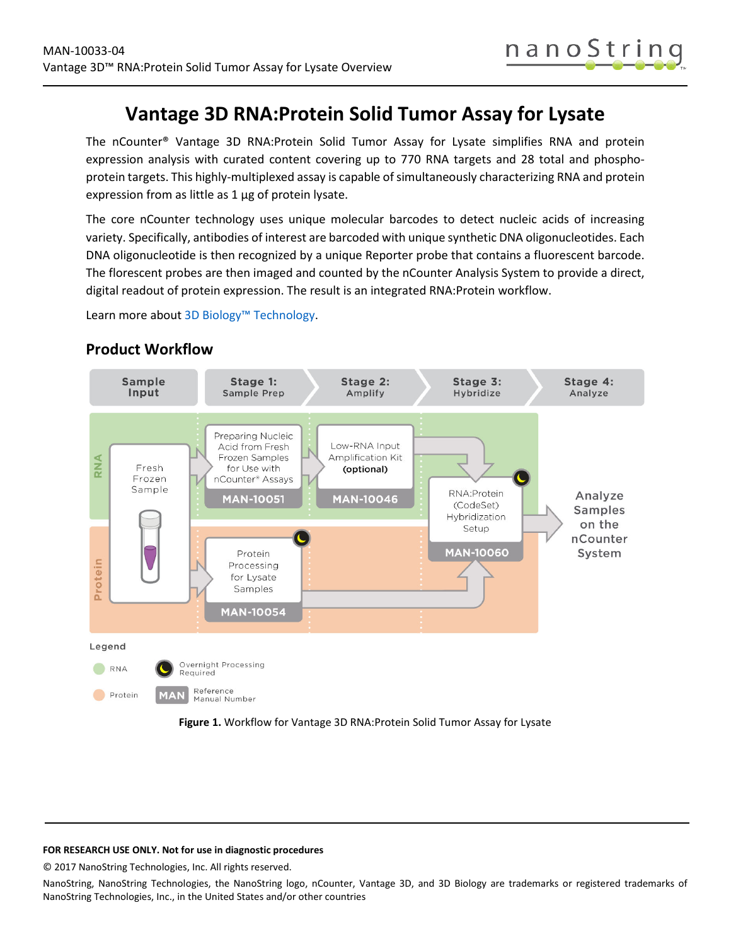

# **Vantage 3D RNA:Protein Solid Tumor Assay for Lysate**

The nCounter® Vantage 3D RNA:Protein Solid Tumor Assay for Lysate simplifies RNA and protein expression analysis with curated content covering up to 770 RNA targets and 28 total and phosphoprotein targets. This highly-multiplexed assay is capable of simultaneously characterizing RNA and protein expression from as little as 1 μg of protein lysate.

The core nCounter technology uses unique molecular barcodes to detect nucleic acids of increasing variety. Specifically, antibodies of interest are barcoded with unique synthetic DNA oligonucleotides. Each DNA oligonucleotide is then recognized by a unique Reporter probe that contains a fluorescent barcode. The florescent probes are then imaged and counted by the nCounter Analysis System to provide a direct, digital readout of protein expression. The result is an integrated RNA:Protein workflow.

Learn more abou[t 3D Biology™ Technology.](https://www.nanostring.com/scientific-content/technology-overview/3d-biology-technology)

#### **Sample** Stage 2: Stage 3: Stage 4: Stage 1: Input **Sample Prep** Amplify Hybridize Analyze Preparing Nucleic Low-RNA Input Acid from Fresh Frozen Samples Amplification Kit RNA Fresh for Use with (optional) Frozen nCounter<sup>®</sup> Assays Sample RNA:Protein Analyze **MAN-10051 MAN-10046** (CodeSet) **Samples** Hybridization on the Setup nCounter **MAN-10060** System Protein Protein Processing for Lysate Samples **MAN-10054** Legend Overnight Processing RNA Required Reference Protein Manual Number

## **Product Workflow**

<span id="page-0-0"></span>

### **FOR RESEARCH USE ONLY. Not for use in diagnostic procedures**

© 2017 NanoString Technologies, Inc. All rights reserved.

NanoString, NanoString Technologies, the NanoString logo, nCounter, Vantage 3D, and 3D Biology are trademarks or registered trademarks of NanoString Technologies, Inc., in the United States and/or other countries